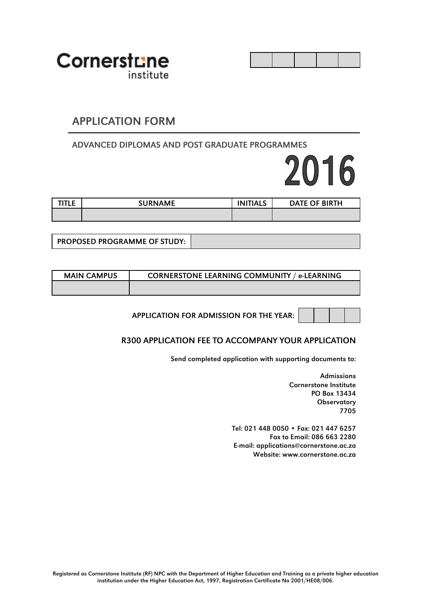

### APPLICATION FORM

#### ADVANCED DIPLOMAS AND POST GRADUATE PROGRAMMES

# 2016

| TITLE | <b>SURNAME</b> | <b>INITIALS</b> | DATE OF BIRTH |
|-------|----------------|-----------------|---------------|
|       |                |                 |               |

PROPOSED PROGRAMME OF STUDY:

| <b>MAIN CAMPUS</b> | <b>CORNERSTONE LEARNING COMMUNITY / e-LEARNING</b> |
|--------------------|----------------------------------------------------|
|                    |                                                    |

APPLICATION FOR ADMISSION FOR THE YEAR:

#### R300 APPLICATION FEE TO ACCOMPANY YOUR APPLICATION

Send completed application with supporting documents to:

Admissions Cornerstone Institute PO Box 13434 **Observatory** 7705

Tel: 021 448 0050 • Fax: 021 447 6257 Fax to Email: 086 663 2280 E-mail: applications@cornerstone.ac.za Website: www.cornerstone.ac.za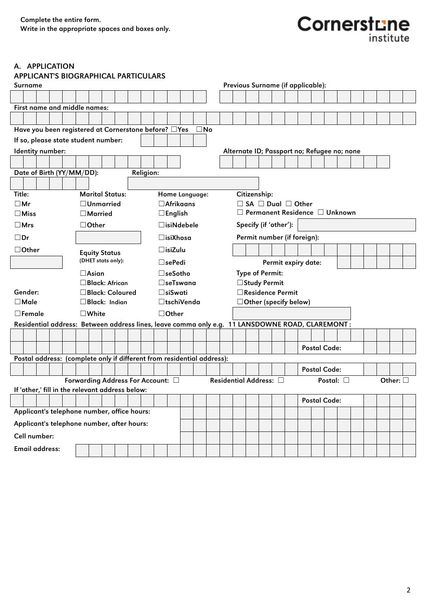# **Cornerstune**

#### A. APPLICATION

| <b>APPLICANT'S BIOGRAPHICAL PARTICULARS</b>                                                     |                                   |                  |                    |                      |              |  |              |                                             |  |                     |  |  |                  |  |
|-------------------------------------------------------------------------------------------------|-----------------------------------|------------------|--------------------|----------------------|--------------|--|--------------|---------------------------------------------|--|---------------------|--|--|------------------|--|
| Surname                                                                                         |                                   |                  |                    |                      |              |  |              | Previous Surname (if applicable):           |  |                     |  |  |                  |  |
|                                                                                                 |                                   |                  |                    |                      |              |  |              |                                             |  |                     |  |  |                  |  |
| First name and middle names:                                                                    |                                   |                  |                    |                      |              |  |              |                                             |  |                     |  |  |                  |  |
|                                                                                                 |                                   |                  |                    |                      |              |  |              |                                             |  |                     |  |  |                  |  |
| Have you been registered at Cornerstone before? DYes                                            |                                   |                  |                    |                      | $\square$ No |  |              |                                             |  |                     |  |  |                  |  |
| If so, please state student number:                                                             |                                   |                  |                    |                      |              |  |              |                                             |  |                     |  |  |                  |  |
| Identity number:                                                                                |                                   |                  |                    |                      |              |  |              | Alternate ID; Passport no; Refugee no; none |  |                     |  |  |                  |  |
|                                                                                                 |                                   |                  |                    |                      |              |  |              |                                             |  |                     |  |  |                  |  |
| Date of Birth (YY/MM/DD):                                                                       |                                   | <b>Religion:</b> |                    |                      |              |  |              |                                             |  |                     |  |  |                  |  |
|                                                                                                 |                                   |                  |                    |                      |              |  |              |                                             |  |                     |  |  |                  |  |
| Title:                                                                                          | <b>Marital Status:</b>            |                  |                    | Home Language:       |              |  | Citizenship: |                                             |  |                     |  |  |                  |  |
| $\square$ Mr                                                                                    | $\Box$ Unmarried                  |                  | $\Box$ Afrikaans   |                      |              |  |              | $\Box$ SA $\Box$ Dual $\Box$ Other          |  |                     |  |  |                  |  |
| $\Box$ Miss                                                                                     | □ Married                         |                  | $\square$ English  |                      |              |  |              | $\Box$ Permanent Residence $\Box$ Unknown   |  |                     |  |  |                  |  |
| $\square$ Mrs                                                                                   | $\Box$ Other                      |                  |                    | $\square$ isiNdebele |              |  |              | Specify (if 'other'):                       |  |                     |  |  |                  |  |
| $\square$ Dr                                                                                    |                                   |                  | $\square$ isiXhosa |                      |              |  |              | Permit number (if foreign):                 |  |                     |  |  |                  |  |
| $\Box$ Other                                                                                    | <b>Equity Status</b>              |                  | $\Box$ isiZulu     |                      |              |  |              |                                             |  |                     |  |  |                  |  |
|                                                                                                 | (DHET stats only):                |                  | $\Box$ sePedi      |                      |              |  |              | Permit expiry date:                         |  |                     |  |  |                  |  |
|                                                                                                 | $\Box$ Asian                      |                  | $\square$ seSotho  |                      |              |  |              | <b>Type of Permit:</b>                      |  |                     |  |  |                  |  |
|                                                                                                 | $\square$ Black: African          |                  | $\square$ seTswana |                      |              |  |              | □ Study Permit                              |  |                     |  |  |                  |  |
| Gender:                                                                                         | □ Black: Coloured                 |                  | □siSwati           |                      |              |  |              | □ Residence Permit                          |  |                     |  |  |                  |  |
| $\Box$ Male                                                                                     | Black: Indian                     |                  |                    | □tschiVenda          |              |  |              | $\Box$ Other (specify below)                |  |                     |  |  |                  |  |
| $\square$ Female                                                                                | $\square$ White                   |                  | $\Box$ Other       |                      |              |  |              |                                             |  |                     |  |  |                  |  |
| Residential address: Between address lines, leave comma only e.g. 11 LANSDOWNE ROAD, CLAREMONT: |                                   |                  |                    |                      |              |  |              |                                             |  |                     |  |  |                  |  |
|                                                                                                 |                                   |                  |                    |                      |              |  |              |                                             |  |                     |  |  |                  |  |
|                                                                                                 |                                   |                  |                    |                      |              |  |              |                                             |  | <b>Postal Code:</b> |  |  |                  |  |
| Postal address: (complete only if different from residential address):                          |                                   |                  |                    |                      |              |  |              |                                             |  |                     |  |  |                  |  |
|                                                                                                 |                                   |                  |                    |                      |              |  |              |                                             |  | <b>Postal Code:</b> |  |  |                  |  |
|                                                                                                 | Forwarding Address For Account: □ |                  |                    |                      |              |  |              | Residential Address: □                      |  | Postal: $\square$   |  |  | Other: $\square$ |  |
| If 'other,' fill in the relevant address below:                                                 |                                   |                  |                    |                      |              |  |              |                                             |  |                     |  |  |                  |  |
|                                                                                                 |                                   |                  |                    |                      |              |  |              |                                             |  | Postal Code:        |  |  |                  |  |
| Applicant's telephone number, office hours:                                                     |                                   |                  |                    |                      |              |  |              |                                             |  |                     |  |  |                  |  |
| Applicant's telephone number, after hours:                                                      |                                   |                  |                    |                      |              |  |              |                                             |  |                     |  |  |                  |  |
| Cell number:                                                                                    |                                   |                  |                    |                      |              |  |              |                                             |  |                     |  |  |                  |  |
| Email address:                                                                                  |                                   |                  |                    |                      |              |  |              |                                             |  |                     |  |  |                  |  |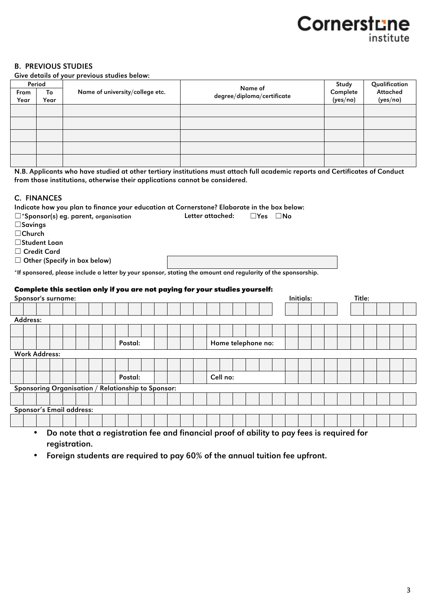# Cornerstune institute

#### B. PREVIOUS STUDIES

Give details of your previous studies below:

|      | Period |                                 | Name of                    | Study    | Qualification |
|------|--------|---------------------------------|----------------------------|----------|---------------|
| From | To     | Name of university/college etc. | degree/diploma/certificate | Complete | Attached      |
| Year | Year   |                                 |                            | (yes/no) | (yes/no)      |
|      |        |                                 |                            |          |               |
|      |        |                                 |                            |          |               |
|      |        |                                 |                            |          |               |
|      |        |                                 |                            |          |               |
|      |        |                                 |                            |          |               |

N.B. Applicants who have studied at other tertiary institutions must attach full academic reports and Certificates of Conduct from those institutions, otherwise their applications cannot be considered.

#### C. FINANCES

|                                     |  |  |                                                |         | Indicate how you plan to finance your education at Cornerstone? Elaborate in the box below:                   |  |  |                  |                    |                      |  |           |  |                                                                                            |  |  |
|-------------------------------------|--|--|------------------------------------------------|---------|---------------------------------------------------------------------------------------------------------------|--|--|------------------|--------------------|----------------------|--|-----------|--|--------------------------------------------------------------------------------------------|--|--|
|                                     |  |  | $\square$ *Sponsor(s) eg. parent, organisation |         |                                                                                                               |  |  | Letter attached: |                    | $\Box$ Yes $\Box$ No |  |           |  |                                                                                            |  |  |
| $\square$ Savings                   |  |  |                                                |         |                                                                                                               |  |  |                  |                    |                      |  |           |  |                                                                                            |  |  |
| $\Box$ Church                       |  |  |                                                |         |                                                                                                               |  |  |                  |                    |                      |  |           |  |                                                                                            |  |  |
| □Student Loan                       |  |  |                                                |         |                                                                                                               |  |  |                  |                    |                      |  |           |  |                                                                                            |  |  |
| $\Box$ Credit Card                  |  |  |                                                |         |                                                                                                               |  |  |                  |                    |                      |  |           |  |                                                                                            |  |  |
| $\Box$ Other (Specify in box below) |  |  |                                                |         |                                                                                                               |  |  |                  |                    |                      |  |           |  |                                                                                            |  |  |
|                                     |  |  |                                                |         |                                                                                                               |  |  |                  |                    |                      |  |           |  |                                                                                            |  |  |
|                                     |  |  |                                                |         | *If sponsored, please include a letter by your sponsor, stating the amount and regularity of the sponsorship. |  |  |                  |                    |                      |  |           |  |                                                                                            |  |  |
|                                     |  |  |                                                |         | Complete this section only if you are not paying for your studies yourself:                                   |  |  |                  |                    |                      |  |           |  |                                                                                            |  |  |
| Sponsor's surname:                  |  |  |                                                |         |                                                                                                               |  |  |                  |                    |                      |  | Initials: |  | Title:                                                                                     |  |  |
|                                     |  |  |                                                |         |                                                                                                               |  |  |                  |                    |                      |  |           |  |                                                                                            |  |  |
|                                     |  |  |                                                |         |                                                                                                               |  |  |                  |                    |                      |  |           |  |                                                                                            |  |  |
| Address:                            |  |  |                                                |         |                                                                                                               |  |  |                  |                    |                      |  |           |  |                                                                                            |  |  |
|                                     |  |  |                                                |         |                                                                                                               |  |  |                  |                    |                      |  |           |  |                                                                                            |  |  |
|                                     |  |  |                                                | Postal: |                                                                                                               |  |  |                  | Home telephone no: |                      |  |           |  |                                                                                            |  |  |
| <b>Work Address:</b>                |  |  |                                                |         |                                                                                                               |  |  |                  |                    |                      |  |           |  |                                                                                            |  |  |
|                                     |  |  |                                                |         |                                                                                                               |  |  |                  |                    |                      |  |           |  |                                                                                            |  |  |
|                                     |  |  |                                                |         |                                                                                                               |  |  |                  |                    |                      |  |           |  |                                                                                            |  |  |
|                                     |  |  |                                                | Postal: |                                                                                                               |  |  | Cell no:         |                    |                      |  |           |  |                                                                                            |  |  |
|                                     |  |  |                                                |         | Sponsoring Organisation / Relationship to Sponsor:                                                            |  |  |                  |                    |                      |  |           |  |                                                                                            |  |  |
|                                     |  |  |                                                |         |                                                                                                               |  |  |                  |                    |                      |  |           |  |                                                                                            |  |  |
| Sponsor's Email address:            |  |  |                                                |         |                                                                                                               |  |  |                  |                    |                      |  |           |  |                                                                                            |  |  |
|                                     |  |  |                                                |         |                                                                                                               |  |  |                  |                    |                      |  |           |  |                                                                                            |  |  |
|                                     |  |  |                                                |         |                                                                                                               |  |  |                  |                    |                      |  |           |  |                                                                                            |  |  |
| ٠                                   |  |  |                                                |         |                                                                                                               |  |  |                  |                    |                      |  |           |  | Do note that a registration fee and financial proof of ability to pay fees is required for |  |  |

a registration fee and financial proof of ability to pay fees is required for registration.

• Foreign students are required to pay 60% of the annual tuition fee upfront.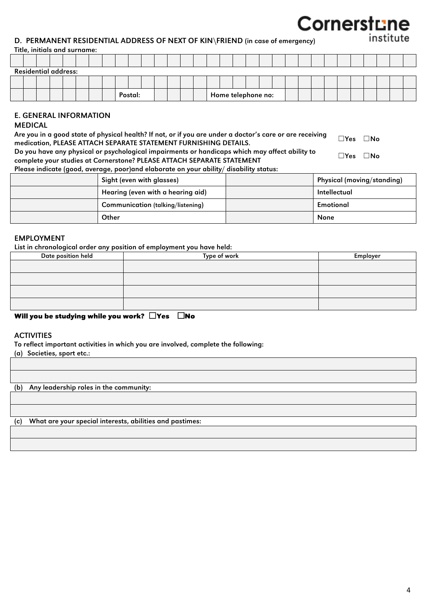## Cornerstune institute

#### D. PERMANENT RESIDENTIAL ADDRESS OF NEXT OF KIN\FRIEND (in case of emergency)

#### Title, initials and surname:

|  | <b>Residential address:</b> |  |  |  |         |  |  |  |  |                    |  |  |  |  |  |  |
|--|-----------------------------|--|--|--|---------|--|--|--|--|--------------------|--|--|--|--|--|--|
|  |                             |  |  |  |         |  |  |  |  |                    |  |  |  |  |  |  |
|  |                             |  |  |  | Postal: |  |  |  |  | Home telephone no: |  |  |  |  |  |  |

#### E. GENERAL INFORMATION

#### MEDICAL

| Are you in a good state of physical health? If not, or if you are under a doctor's care or are receiving | $\square$ Yes $\square$ No |  |
|----------------------------------------------------------------------------------------------------------|----------------------------|--|
| medication, PLEASE ATTACH SEPARATE STATEMENT FURNISHING DETAILS.                                         |                            |  |
| Do you have any physical or psychological impairments or handicaps which may affect ability to           | $\Box Y$ es $\Box$ No      |  |
| complete your studies at Cornerstone? PLEASE ATTACH SEPARATE STATEMENT                                   |                            |  |
| Please indicate (good, average, poor)and elaborate on your ability/ disability status:                   |                            |  |

| Sight (even with glasses)                | Physical (moving/standing) |
|------------------------------------------|----------------------------|
| Hearing (even with a hearing aid)        | Intellectual               |
| <b>Communication (talking/listening)</b> | Emotional                  |
| Other                                    | None                       |

#### EMPLOYMENT

List in chronological order any position of employment you have held:

| Date position held | Type of work | Employer |
|--------------------|--------------|----------|
|                    |              |          |
|                    |              |          |
|                    |              |          |
|                    |              |          |

#### **Will you be studying while you work?** ☐ **Yes** ☐ **No**

#### **ACTIVITIES**

To reflect important activities in which you are involved, complete the following:

(a) Societies, sport etc.:

(b) Any leadership roles in the community:

(c) What are your special interests, abilities and pastimes: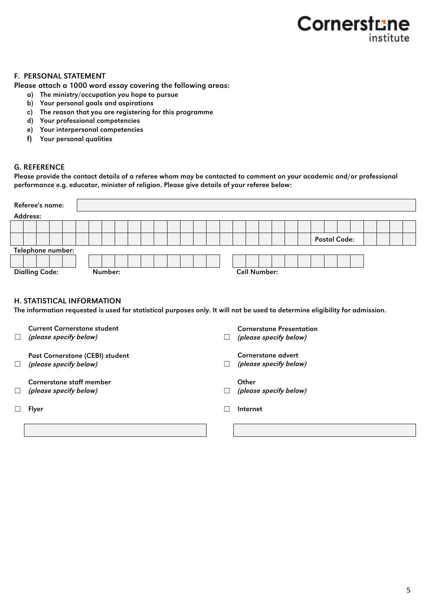# Cornerstune institute

#### F. PERSONAL STATEMENT

Please attach a 1000 word essay covering the following areas:

- a) The ministry/occupation you hope to pursue
- b) Your personal goals and aspirations
- c) The reason that you are registering for this programme
- d) Your professional competencies
- e) Your interpersonal competencies
- f) Your personal qualities

#### G. REFERENCE

Please provide the contact details of a referee whom may be contacted to comment on your academic and/or professional performance e.g. educator, minister of religion. Please give details of your referee below:

| Referee's name:                                                                                                              |                                  |
|------------------------------------------------------------------------------------------------------------------------------|----------------------------------|
| Address:                                                                                                                     |                                  |
|                                                                                                                              | <b>Postal Code:</b>              |
|                                                                                                                              |                                  |
| Telephone number:                                                                                                            |                                  |
|                                                                                                                              |                                  |
| <b>Dialling Code:</b><br>Number:                                                                                             | <b>Cell Number:</b>              |
|                                                                                                                              |                                  |
|                                                                                                                              |                                  |
| <b>H. STATISTICAL INFORMATION</b>                                                                                            |                                  |
| The information requested is used for statistical purposes only. It will not be used to determine eligibility for admission. |                                  |
|                                                                                                                              |                                  |
| <b>Current Cornerstone student</b>                                                                                           | <b>Cornerstone Presentation</b>  |
| (please specify below)<br>$\perp$                                                                                            | (please specify below)<br>$\Box$ |
|                                                                                                                              |                                  |
| Past Cornerstone (CEBI) student                                                                                              | Cornerstone advert               |
| (please specify below)<br>$\Box$                                                                                             | (please specify below)<br>$\Box$ |
| <b>Cornerstone staff member</b>                                                                                              | Other                            |
| (please specify below)                                                                                                       | (please specify below)           |
|                                                                                                                              |                                  |
| Flyer                                                                                                                        | Internet                         |
|                                                                                                                              |                                  |
|                                                                                                                              |                                  |
|                                                                                                                              |                                  |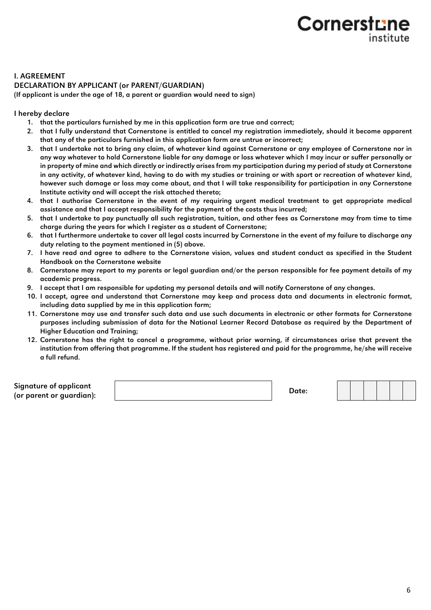# **Cornerstu** institute

#### I. AGREEMENT DECLARATION BY APPLICANT (or PARENT/GUARDIAN)

(If applicant is under the age of 18, a parent or guardian would need to sign)

#### I hereby declare

- 1. that the particulars furnished by me in this application form are true and correct;
- 2. that I fully understand that Cornerstone is entitled to cancel my registration immediately, should it become apparent that any of the particulars furnished in this application form are untrue or incorrect;
- 3. that I undertake not to bring any claim, of whatever kind against Cornerstone or any employee of Cornerstone nor in any way whatever to hold Cornerstone liable for any damage or loss whatever which I may incur or suffer personally or in property of mine and which directly or indirectly arises from my participation during my period of study at Cornerstone in any activity, of whatever kind, having to do with my studies or training or with sport or recreation of whatever kind, however such damage or loss may come about, and that I will take responsibility for participation in any Cornerstone Institute activity and will accept the risk attached thereto;
- 4. that I authorise Cornerstone in the event of my requiring urgent medical treatment to get appropriate medical assistance and that I accept responsibility for the payment of the costs thus incurred;
- 5. that I undertake to pay punctually all such registration, tuition, and other fees as Cornerstone may from time to time charge during the years for which I register as a student of Cornerstone;
- 6. that I furthermore undertake to cover all legal costs incurred by Cornerstone in the event of my failure to discharge any duty relating to the payment mentioned in (5) above.
- 7. I have read and agree to adhere to the Cornerstone vision, values and student conduct as specified in the Student Handbook on the Cornerstone website
- 8. Cornerstone may report to my parents or legal guardian and/or the person responsible for fee payment details of my academic progress.
- 9. I accept that I am responsible for updating my personal details and will notify Cornerstone of any changes.
- 10. I accept, agree and understand that Cornerstone may keep and process data and documents in electronic format, including data supplied by me in this application form;
- 11. Cornerstone may use and transfer such data and use such documents in electronic or other formats for Cornerstone purposes including submission of data for the National Learner Record Database as required by the Department of Higher Education and Training;
- 12. Cornerstone has the right to cancel a programme, without prior warning, if circumstances arise that prevent the institution from offering that programme. If the student has registered and paid for the programme, he/she will receive a full refund.

Signature of applicant (or parent or guardian): Date: